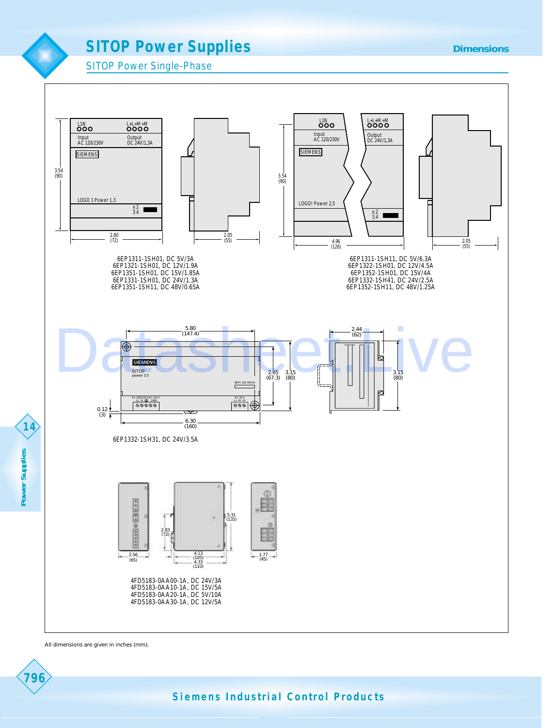





All dimensions are given in inches (mm).



Power Supplies  $\left\langle \begin{array}{c} 1 \\ 1 \end{array} \right\rangle$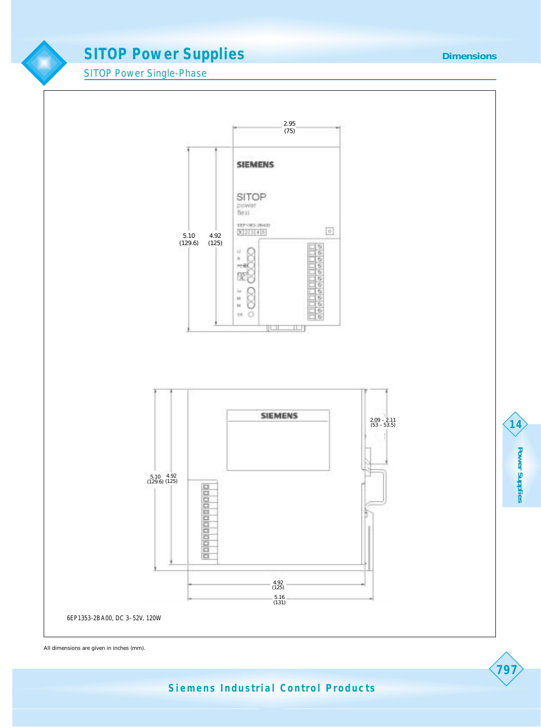**Dimensions**

SITOP Power Single-Phase



All dimensions are given in inches (mm).

**Siemens Industrial Control Products**

**Power Supplies Power Supplies**

**14**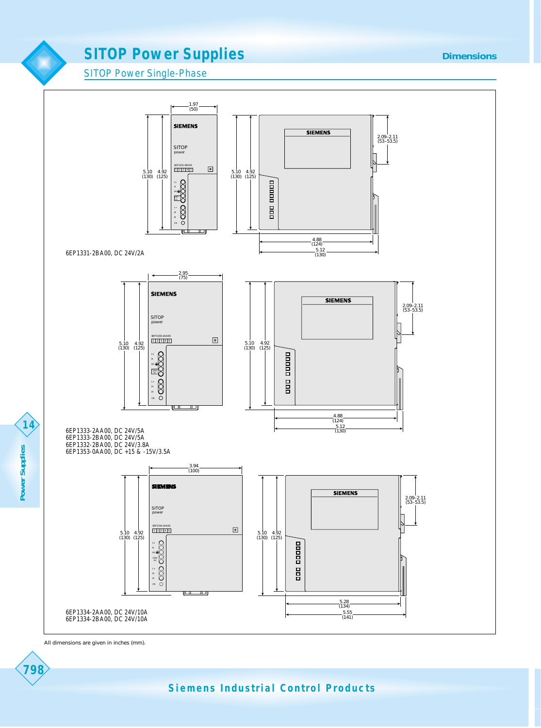#### **Dimensions**

SITOP Power Single-Phase



All dimensions are given in inches (mm).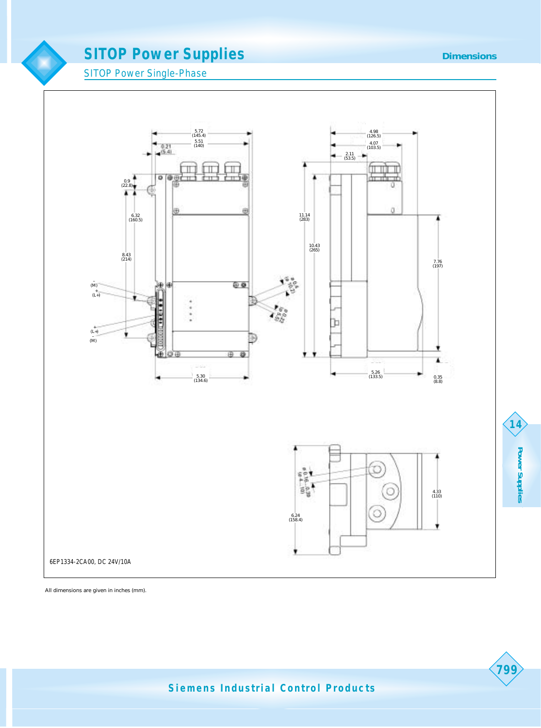**SITOP Power Single-Phase** 

 $\blacksquare$ 



All dimensions are given in inches (mm).

**Power Supplies**

**Power Supplies**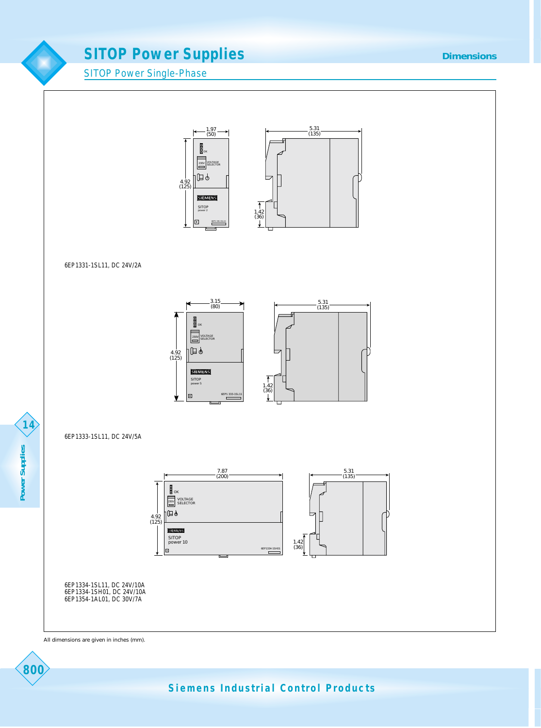SITOP Power Single-Phase



#### 6EP1331-1SL11, DC 24V/2A



#### 6EP1333-1SL11, DC 24V/5A



6EP1334-1SL11, DC 24V/10A 6EP1334-1SH01, DC 24V/10A 6EP1354-1AL01, DC 30V/7A

All dimensions are given in inches (mm).

**Siemens Industrial Control Products**

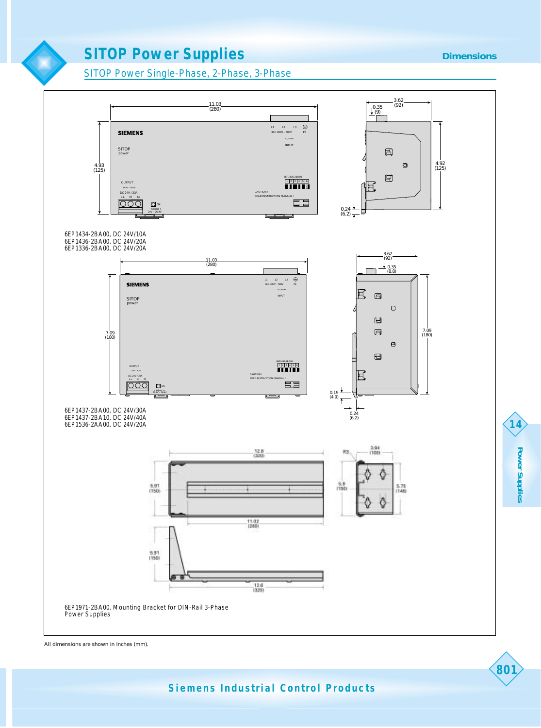#### **Dimensions**

SITOP Power Single-Phase, 2-Phase, 3-Phase



All dimensions are shown in inches (mm).

**Power Supplies**

**Power Supplies** 

**14**

**801**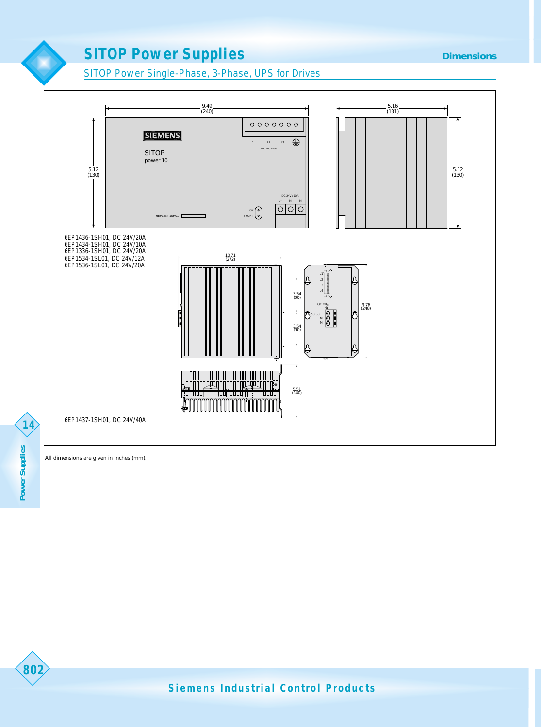#### **Dimensions**

SITOP Power Single-Phase, 3-Phase, UPS for Drives



802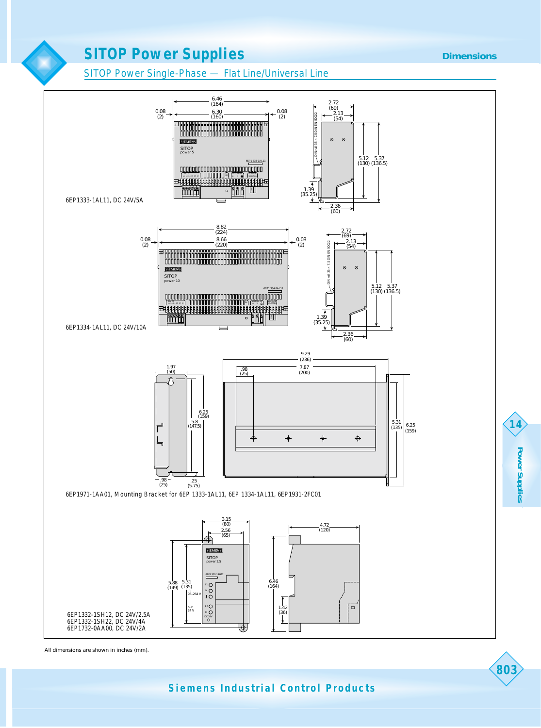#### **Dimensions**

SITOP Power Single-Phase — Flat Line/Universal Line



All dimensions are shown in inches (mm).

**Siemens Industrial Control Products**

**Power Supplies Power Supplies**

**14**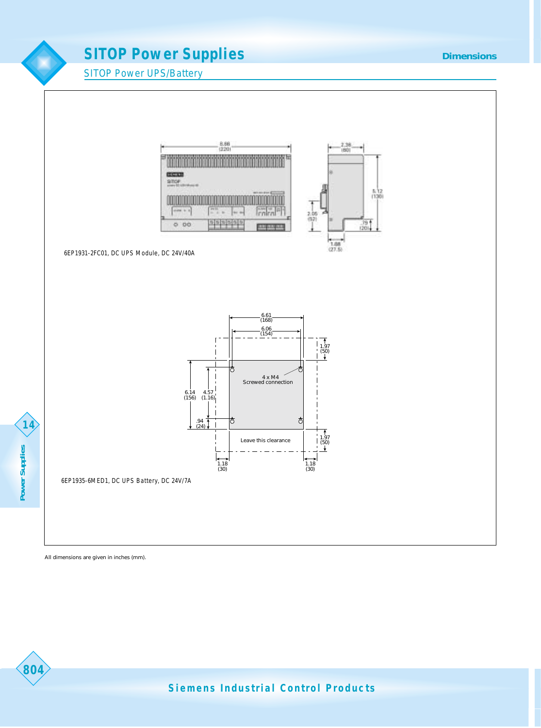SITOP Power UPS/Battery



6EP1931-2FC01, DC UPS Module, DC 24V/40A



**804 Power Supplies** Power Supplies

804

6EP1935-6MED1, DC UPS Battery, DC 24V/7A

All dimensions are given in inches (mm).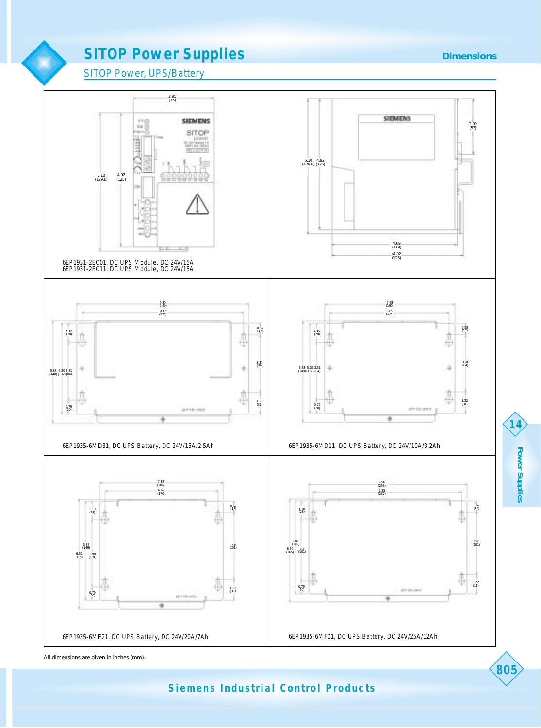



**Siemens Industrial Control Products**

**805**

**Power Supplies**

**Power Supplies**